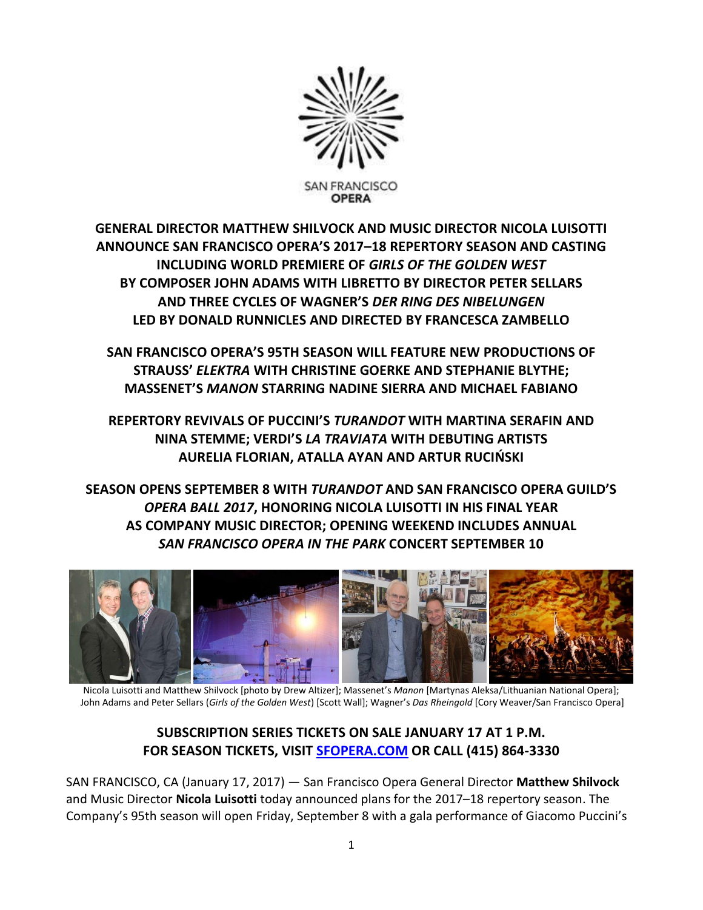

**GENERAL DIRECTOR MATTHEW SHILVOCK AND MUSIC DIRECTOR NICOLA LUISOTTI ANNOUNCE SAN FRANCISCO OPERA'S 2017–18 REPERTORY SEASON AND CASTING INCLUDING WORLD PREMIERE OF** *GIRLS OF THE GOLDEN WEST* **BY COMPOSER JOHN ADAMS WITH LIBRETTO BY DIRECTOR PETER SELLARS AND THREE CYCLES OF WAGNER'S** *DER RING DES NIBELUNGEN* **LED BY DONALD RUNNICLES AND DIRECTED BY FRANCESCA ZAMBELLO**

**SAN FRANCISCO OPERA'S 95TH SEASON WILL FEATURE NEW PRODUCTIONS OF STRAUSS'** *ELEKTRA* **WITH CHRISTINE GOERKE AND STEPHANIE BLYTHE; MASSENET'S** *MANON* **STARRING NADINE SIERRA AND MICHAEL FABIANO** 

**REPERTORY REVIVALS OF PUCCINI'S** *TURANDOT* **WITH MARTINA SERAFIN AND NINA STEMME; VERDI'S** *LA TRAVIATA* **WITH DEBUTING ARTISTS AURELIA FLORIAN, ATALLA AYAN AND ARTUR RUCIŃSKI**

**SEASON OPENS SEPTEMBER 8 WITH** *TURANDOT* **AND SAN FRANCISCO OPERA GUILD'S**  *OPERA BALL 2017***, HONORING NICOLA LUISOTTI IN HIS FINAL YEAR AS COMPANY MUSIC DIRECTOR; OPENING WEEKEND INCLUDES ANNUAL** *SAN FRANCISCO OPERA IN THE PARK* **CONCERT SEPTEMBER 10**



Nicola Luisotti and Matthew Shilvock [photo by Drew Altizer]; Massenet's *Manon* [Martynas Aleksa/Lithuanian National Opera]; John Adams and Peter Sellars (*Girls of the Golden West*) [Scott Wall]; Wagner's *Das Rheingold* [Cory Weaver/San Francisco Opera]

# **SUBSCRIPTION SERIES TICKETS ON SALE JANUARY 17 AT 1 P.M. FOR SEASON TICKETS, VISIT [SFOPERA.COM](http://www.sfopera.com/) OR CALL (415) 864-3330**

SAN FRANCISCO, CA (January 17, 2017) — San Francisco Opera General Director **Matthew Shilvock** and Music Director **Nicola Luisotti** today announced plans for the 2017–18 repertory season. The Company's 95th season will open Friday, September 8 with a gala performance of Giacomo Puccini's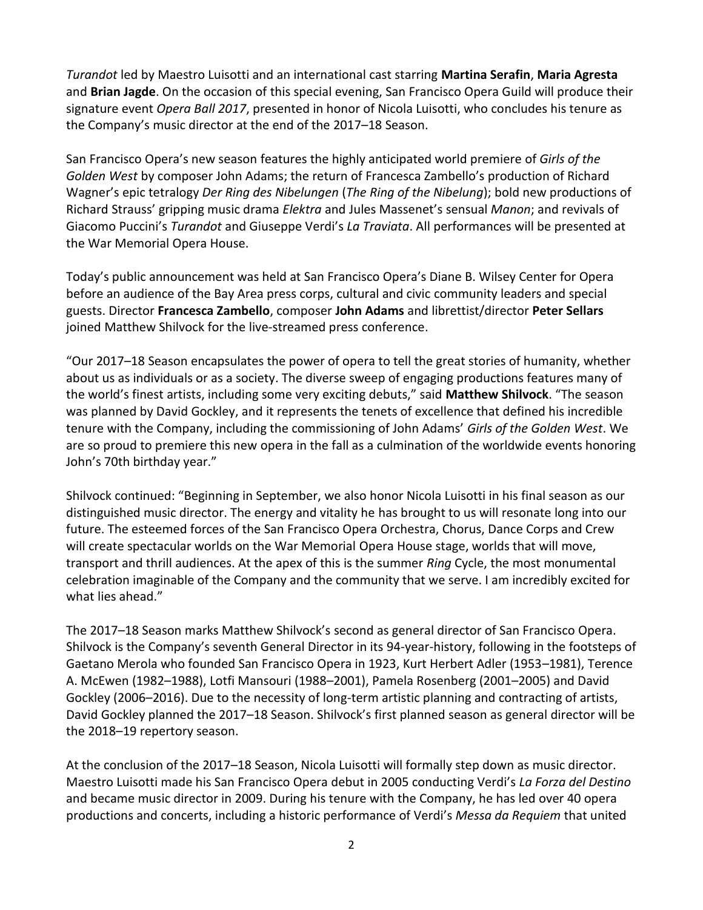*Turandot* led by Maestro Luisotti and an international cast starring **Martina Serafin**, **Maria Agresta** and **Brian Jagde**. On the occasion of this special evening, San Francisco Opera Guild will produce their signature event *Opera Ball 2017*, presented in honor of Nicola Luisotti, who concludes his tenure as the Company's music director at the end of the 2017–18 Season.

San Francisco Opera's new season features the highly anticipated world premiere of *Girls of the Golden West* by composer John Adams; the return of Francesca Zambello's production of Richard Wagner's epic tetralogy *Der Ring des Nibelungen* (*The Ring of the Nibelung*); bold new productions of Richard Strauss' gripping music drama *Elektra* and Jules Massenet's sensual *Manon*; and revivals of Giacomo Puccini's *Turandot* and Giuseppe Verdi's *La Traviata*. All performances will be presented at the War Memorial Opera House.

Today's public announcement was held at San Francisco Opera's Diane B. Wilsey Center for Opera before an audience of the Bay Area press corps, cultural and civic community leaders and special guests. Director **Francesca Zambello**, composer **John Adams** and librettist/director **Peter Sellars** joined Matthew Shilvock for the live-streamed press conference.

"Our 2017–18 Season encapsulates the power of opera to tell the great stories of humanity, whether about us as individuals or as a society. The diverse sweep of engaging productions features many of the world's finest artists, including some very exciting debuts," said **Matthew Shilvock**. "The season was planned by David Gockley, and it represents the tenets of excellence that defined his incredible tenure with the Company, including the commissioning of John Adams' *Girls of the Golden West*. We are so proud to premiere this new opera in the fall as a culmination of the worldwide events honoring John's 70th birthday year."

Shilvock continued: "Beginning in September, we also honor Nicola Luisotti in his final season as our distinguished music director. The energy and vitality he has brought to us will resonate long into our future. The esteemed forces of the San Francisco Opera Orchestra, Chorus, Dance Corps and Crew will create spectacular worlds on the War Memorial Opera House stage, worlds that will move, transport and thrill audiences. At the apex of this is the summer *Ring* Cycle, the most monumental celebration imaginable of the Company and the community that we serve. I am incredibly excited for what lies ahead."

The 2017–18 Season marks Matthew Shilvock's second as general director of San Francisco Opera. Shilvock is the Company's seventh General Director in its 94-year-history, following in the footsteps of Gaetano Merola who founded San Francisco Opera in 1923, Kurt Herbert Adler (1953–1981), Terence A. McEwen (1982–1988), Lotfi Mansouri (1988–2001), Pamela Rosenberg (2001–2005) and David Gockley (2006–2016). Due to the necessity of long-term artistic planning and contracting of artists, David Gockley planned the 2017–18 Season. Shilvock's first planned season as general director will be the 2018–19 repertory season.

At the conclusion of the 2017–18 Season, Nicola Luisotti will formally step down as music director. Maestro Luisotti made his San Francisco Opera debut in 2005 conducting Verdi's *La Forza del Destino* and became music director in 2009. During his tenure with the Company, he has led over 40 opera productions and concerts, including a historic performance of Verdi's *Messa da Requiem* that united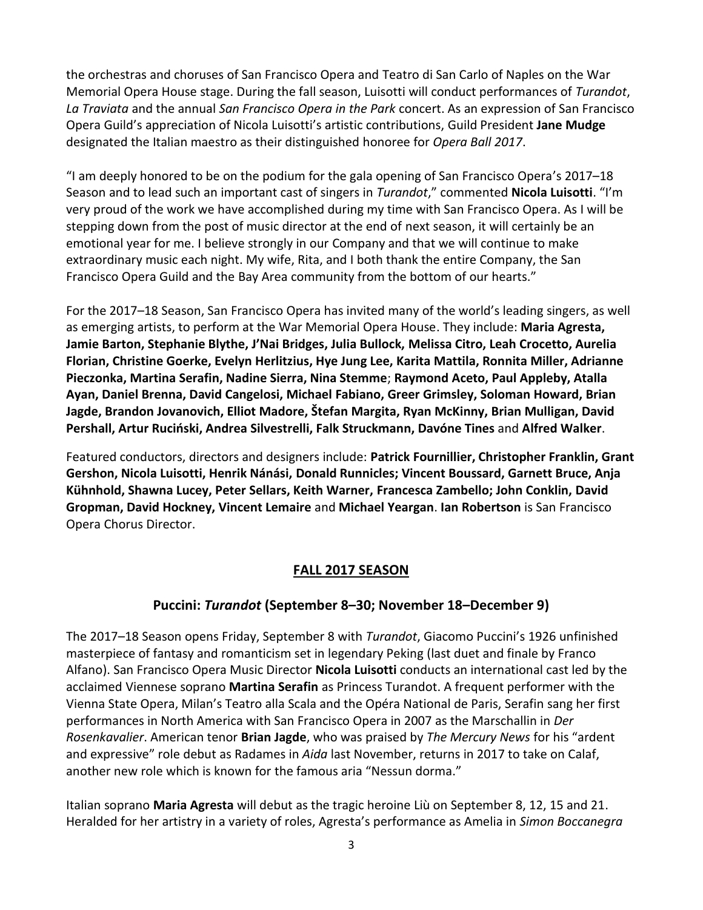the orchestras and choruses of San Francisco Opera and Teatro di San Carlo of Naples on the War Memorial Opera House stage. During the fall season, Luisotti will conduct performances of *Turandot*, *La Traviata* and the annual *San Francisco Opera in the Park* concert. As an expression of San Francisco Opera Guild's appreciation of Nicola Luisotti's artistic contributions, Guild President **Jane Mudge** designated the Italian maestro as their distinguished honoree for *Opera Ball 2017*.

"I am deeply honored to be on the podium for the gala opening of San Francisco Opera's 2017–18 Season and to lead such an important cast of singers in *Turandot*," commented **Nicola Luisotti**. "I'm very proud of the work we have accomplished during my time with San Francisco Opera. As I will be stepping down from the post of music director at the end of next season, it will certainly be an emotional year for me. I believe strongly in our Company and that we will continue to make extraordinary music each night. My wife, Rita, and I both thank the entire Company, the San Francisco Opera Guild and the Bay Area community from the bottom of our hearts."

For the 2017–18 Season, San Francisco Opera has invited many of the world's leading singers, as well as emerging artists, to perform at the War Memorial Opera House. They include: **Maria Agresta, Jamie Barton, Stephanie Blythe, J'Nai Bridges, Julia Bullock, Melissa Citro, Leah Crocetto, Aurelia Florian, Christine Goerke, Evelyn Herlitzius, Hye Jung Lee, Karita Mattila, Ronnita Miller, Adrianne Pieczonka, Martina Serafin, Nadine Sierra, Nina Stemme**; **Raymond Aceto, Paul Appleby, Atalla Ayan, Daniel Brenna, David Cangelosi, Michael Fabiano, Greer Grimsley, Soloman Howard, Brian Jagde, Brandon Jovanovich, Elliot Madore, Štefan Margita, Ryan McKinny, Brian Mulligan, David Pershall, Artur Ruciński, Andrea Silvestrelli, Falk Struckmann, Davóne Tines** and **Alfred Walker**.

Featured conductors, directors and designers include: **Patrick Fournillier, Christopher Franklin, Grant Gershon, Nicola Luisotti, Henrik Nánási, Donald Runnicles; Vincent Boussard, Garnett Bruce, Anja Kühnhold, Shawna Lucey, Peter Sellars, Keith Warner, Francesca Zambello; John Conklin, David Gropman, David Hockney, Vincent Lemaire** and **Michael Yeargan**. **Ian Robertson** is San Francisco Opera Chorus Director.

## **FALL 2017 SEASON**

## **Puccini:** *Turandot* **(September 8–30; November 18–December 9)**

The 2017–18 Season opens Friday, September 8 with *Turandot*, Giacomo Puccini's 1926 unfinished masterpiece of fantasy and romanticism set in legendary Peking (last duet and finale by Franco Alfano). San Francisco Opera Music Director **Nicola Luisotti** conducts an international cast led by the acclaimed Viennese soprano **Martina Serafin** as Princess Turandot. A frequent performer with the Vienna State Opera, Milan's Teatro alla Scala and the Opéra National de Paris, Serafin sang her first performances in North America with San Francisco Opera in 2007 as the Marschallin in *Der Rosenkavalier*. American tenor **Brian Jagde**, who was praised by *The Mercury News* for his "ardent and expressive" role debut as Radames in *Aida* last November, returns in 2017 to take on Calaf, another new role which is known for the famous aria "Nessun dorma."

Italian soprano **Maria Agresta** will debut as the tragic heroine Liù on September 8, 12, 15 and 21. Heralded for her artistry in a variety of roles, Agresta's performance as Amelia in *Simon Boccanegra*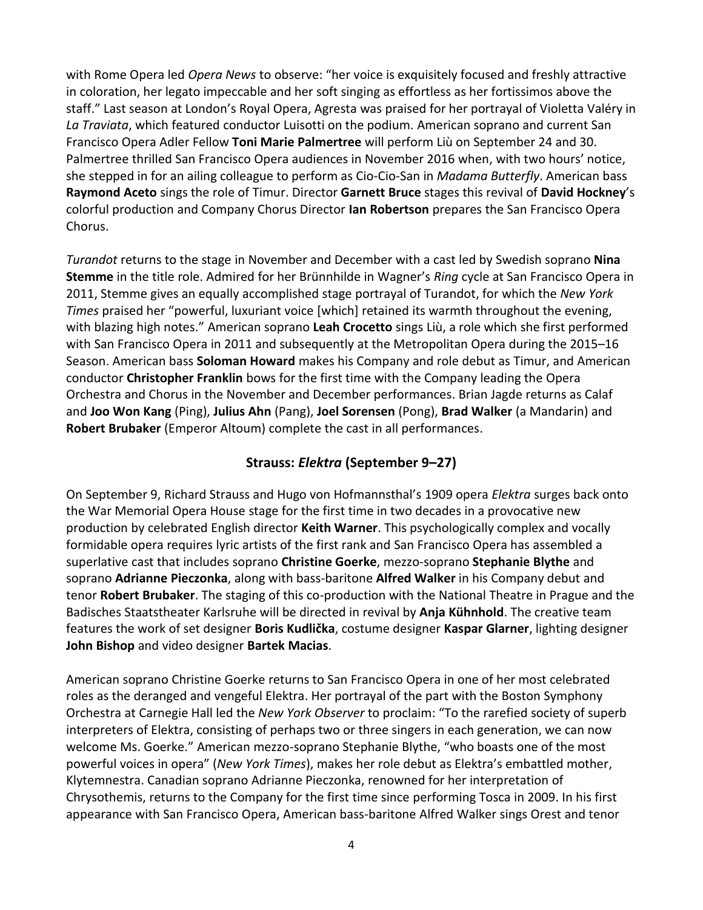with Rome Opera led *Opera News* to observe: "her voice is exquisitely focused and freshly attractive in coloration, her legato impeccable and her soft singing as effortless as her fortissimos above the staff." Last season at London's Royal Opera, Agresta was praised for her portrayal of Violetta Valéry in *La Traviata*, which featured conductor Luisotti on the podium. American soprano and current San Francisco Opera Adler Fellow **Toni Marie Palmertree** will perform Liù on September 24 and 30. Palmertree thrilled San Francisco Opera audiences in November 2016 when, with two hours' notice, she stepped in for an ailing colleague to perform as Cio-Cio-San in *Madama Butterfly*. American bass **Raymond Aceto** sings the role of Timur. Director **Garnett Bruce** stages this revival of **David Hockney**'s colorful production and Company Chorus Director **Ian Robertson** prepares the San Francisco Opera Chorus.

*Turandot* returns to the stage in November and December with a cast led by Swedish soprano **Nina Stemme** in the title role. Admired for her Brünnhilde in Wagner's *Ring* cycle at San Francisco Opera in 2011, Stemme gives an equally accomplished stage portrayal of Turandot, for which the *New York Times* praised her "powerful, luxuriant voice [which] retained its warmth throughout the evening, with blazing high notes." American soprano **Leah Crocetto** sings Liù, a role which she first performed with San Francisco Opera in 2011 and subsequently at the Metropolitan Opera during the 2015–16 Season. American bass **Soloman Howard** makes his Company and role debut as Timur, and American conductor **Christopher Franklin** bows for the first time with the Company leading the Opera Orchestra and Chorus in the November and December performances. Brian Jagde returns as Calaf and **Joo Won Kang** (Ping), **Julius Ahn** (Pang), **Joel Sorensen** (Pong), **Brad Walker** (a Mandarin) and **Robert Brubaker** (Emperor Altoum) complete the cast in all performances.

# **Strauss:** *Elektra* **(September 9–27)**

On September 9, Richard Strauss and Hugo von Hofmannsthal's 1909 opera *Elektra* surges back onto the War Memorial Opera House stage for the first time in two decades in a provocative new production by celebrated English director **Keith Warner**. This psychologically complex and vocally formidable opera requires lyric artists of the first rank and San Francisco Opera has assembled a superlative cast that includes soprano **Christine Goerke**, mezzo-soprano **Stephanie Blythe** and soprano **Adrianne Pieczonka**, along with bass-baritone **Alfred Walker** in his Company debut and tenor **Robert Brubaker**. The staging of this co-production with the National Theatre in Prague and the Badisches Staatstheater Karlsruhe will be directed in revival by **Anja Kühnhold**. The creative team features the work of set designer **Boris Kudlička**, costume designer **Kaspar Glarner**, lighting designer **John Bishop** and video designer **Bartek Macias**.

American soprano Christine Goerke returns to San Francisco Opera in one of her most celebrated roles as the deranged and vengeful Elektra. Her portrayal of the part with the Boston Symphony Orchestra at Carnegie Hall led the *New York Observer* to proclaim: "To the rarefied society of superb interpreters of Elektra, consisting of perhaps two or three singers in each generation, we can now welcome Ms. Goerke." American mezzo-soprano Stephanie Blythe, "who boasts one of the most powerful voices in opera" (*New York Times*), makes her role debut as Elektra's embattled mother, Klytemnestra. Canadian soprano Adrianne Pieczonka, renowned for her interpretation of Chrysothemis, returns to the Company for the first time since performing Tosca in 2009. In his first appearance with San Francisco Opera, American bass-baritone Alfred Walker sings Orest and tenor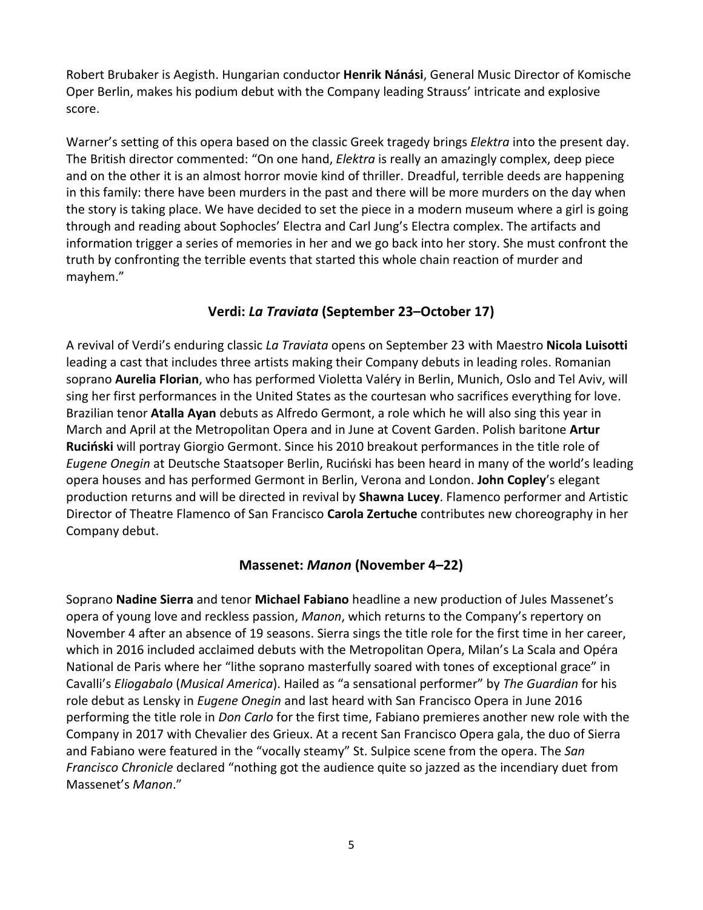Robert Brubaker is Aegisth. Hungarian conductor **Henrik Nánási**, General Music Director of Komische Oper Berlin, makes his podium debut with the Company leading Strauss' intricate and explosive score.

Warner's setting of this opera based on the classic Greek tragedy brings *Elektra* into the present day. The British director commented: "On one hand, *Elektra* is really an amazingly complex, deep piece and on the other it is an almost horror movie kind of thriller. Dreadful, terrible deeds are happening in this family: there have been murders in the past and there will be more murders on the day when the story is taking place. We have decided to set the piece in a modern museum where a girl is going through and reading about Sophocles' Electra and Carl Jung's Electra complex. The artifacts and information trigger a series of memories in her and we go back into her story. She must confront the truth by confronting the terrible events that started this whole chain reaction of murder and mayhem."

## **Verdi:** *La Traviata* **(September 23–October 17)**

A revival of Verdi's enduring classic *La Traviata* opens on September 23 with Maestro **Nicola Luisotti** leading a cast that includes three artists making their Company debuts in leading roles. Romanian soprano **Aurelia Florian**, who has performed Violetta Valéry in Berlin, Munich, Oslo and Tel Aviv, will sing her first performances in the United States as the courtesan who sacrifices everything for love. Brazilian tenor **Atalla Ayan** debuts as Alfredo Germont, a role which he will also sing this year in March and April at the Metropolitan Opera and in June at Covent Garden. Polish baritone **Artur Ruciński** will portray Giorgio Germont. Since his 2010 breakout performances in the title role of *Eugene Onegin* at Deutsche Staatsoper Berlin, Ruciński has been heard in many of the world's leading opera houses and has performed Germont in Berlin, Verona and London. **John Copley**'s elegant production returns and will be directed in revival by **Shawna Lucey**. Flamenco performer and Artistic Director of Theatre Flamenco of San Francisco **Carola Zertuche** contributes new choreography in her Company debut.

## **Massenet:** *Manon* **(November 4–22)**

Soprano **Nadine Sierra** and tenor **Michael Fabiano** headline a new production of Jules Massenet's opera of young love and reckless passion, *Manon*, which returns to the Company's repertory on November 4 after an absence of 19 seasons. Sierra sings the title role for the first time in her career, which in 2016 included acclaimed debuts with the Metropolitan Opera, Milan's La Scala and Opéra National de Paris where her "lithe soprano masterfully soared with tones of exceptional grace" in Cavalli's *Eliogabalo* (*Musical America*). Hailed as "a sensational performer" by *The Guardian* for his role debut as Lensky in *Eugene Onegin* and last heard with San Francisco Opera in June 2016 performing the title role in *Don Carlo* for the first time, Fabiano premieres another new role with the Company in 2017 with Chevalier des Grieux. At a recent San Francisco Opera gala, the duo of Sierra and Fabiano were featured in the "vocally steamy" St. Sulpice scene from the opera. The *San Francisco Chronicle* declared "nothing got the audience quite so jazzed as the incendiary duet from Massenet's *Manon*."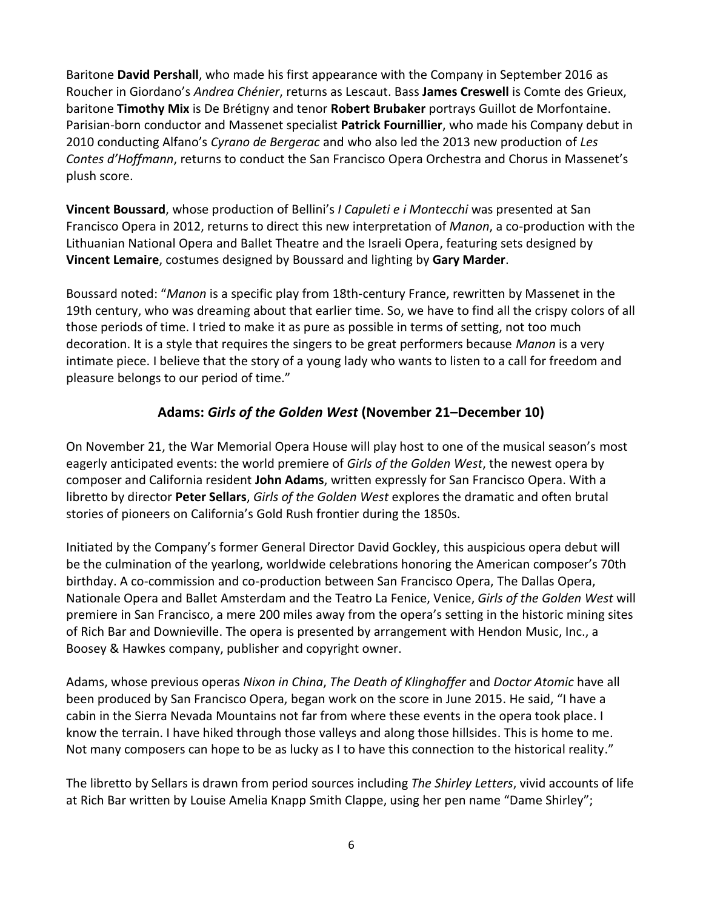Baritone **David Pershall**, who made his first appearance with the Company in September 2016 as Roucher in Giordano's *Andrea Chénier*, returns as Lescaut. Bass **James Creswell** is Comte des Grieux, baritone **Timothy Mix** is De Brétigny and tenor **Robert Brubaker** portrays Guillot de Morfontaine. Parisian-born conductor and Massenet specialist **Patrick Fournillier**, who made his Company debut in 2010 conducting Alfano's *Cyrano de Bergerac* and who also led the 2013 new production of *Les Contes d'Hoffmann*, returns to conduct the San Francisco Opera Orchestra and Chorus in Massenet's plush score.

**Vincent Boussard**, whose production of Bellini's *I Capuleti e i Montecchi* was presented at San Francisco Opera in 2012, returns to direct this new interpretation of *Manon*, a co-production with the Lithuanian National Opera and Ballet Theatre and the Israeli Opera, featuring sets designed by **Vincent Lemaire**, costumes designed by Boussard and lighting by **Gary Marder**.

Boussard noted: "*Manon* is a specific play from 18th-century France, rewritten by Massenet in the 19th century, who was dreaming about that earlier time. So, we have to find all the crispy colors of all those periods of time. I tried to make it as pure as possible in terms of setting, not too much decoration. It is a style that requires the singers to be great performers because *Manon* is a very intimate piece. I believe that the story of a young lady who wants to listen to a call for freedom and pleasure belongs to our period of time."

# **Adams:** *Girls of the Golden West* **(November 21–December 10)**

On November 21, the War Memorial Opera House will play host to one of the musical season's most eagerly anticipated events: the world premiere of *Girls of the Golden West*, the newest opera by composer and California resident **John Adams**, written expressly for San Francisco Opera. With a libretto by director **Peter Sellars**, *Girls of the Golden West* explores the dramatic and often brutal stories of pioneers on California's Gold Rush frontier during the 1850s.

Initiated by the Company's former General Director David Gockley, this auspicious opera debut will be the culmination of the yearlong, worldwide celebrations honoring the American composer's 70th birthday. A co-commission and co-production between San Francisco Opera, The Dallas Opera, Nationale Opera and Ballet Amsterdam and the Teatro La Fenice, Venice, *Girls of the Golden West* will premiere in San Francisco, a mere 200 miles away from the opera's setting in the historic mining sites of Rich Bar and Downieville. The opera is presented by arrangement with Hendon Music, Inc., a Boosey & Hawkes company, publisher and copyright owner.

Adams, whose previous operas *Nixon in China*, *The Death of Klinghoffer* and *Doctor Atomic* have all been produced by San Francisco Opera, began work on the score in June 2015. He said, "I have a cabin in the Sierra Nevada Mountains not far from where these events in the opera took place. I know the terrain. I have hiked through those valleys and along those hillsides. This is home to me. Not many composers can hope to be as lucky as I to have this connection to the historical reality."

The libretto by Sellars is drawn from period sources including *The Shirley Letters*, vivid accounts of life at Rich Bar written by Louise Amelia Knapp Smith Clappe, using her pen name "Dame Shirley";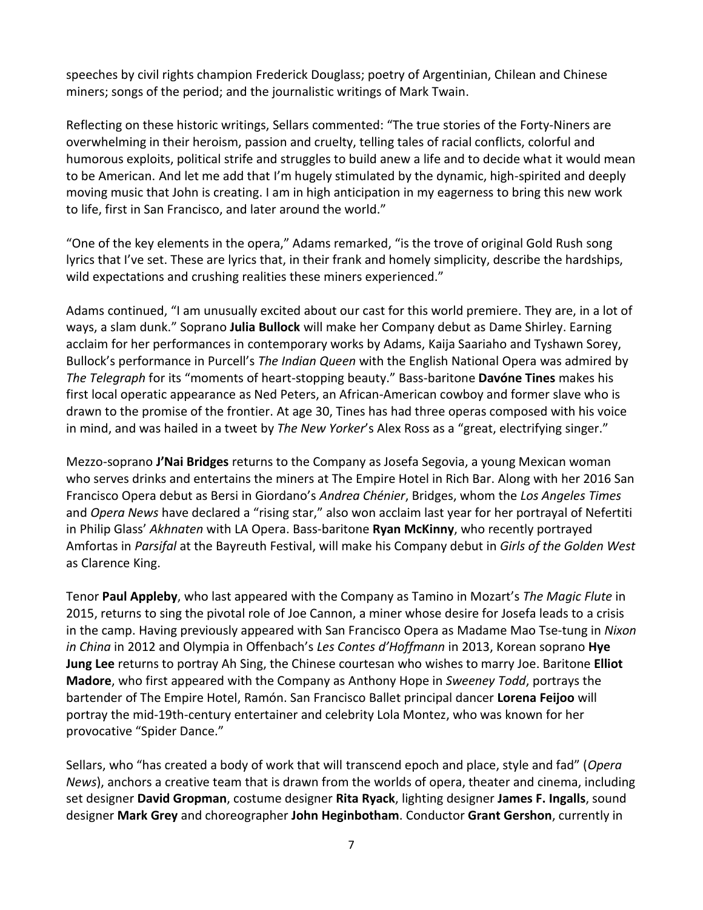speeches by civil rights champion Frederick Douglass; poetry of Argentinian, Chilean and Chinese miners; songs of the period; and the journalistic writings of Mark Twain.

Reflecting on these historic writings, Sellars commented: "The true stories of the Forty-Niners are overwhelming in their heroism, passion and cruelty, telling tales of racial conflicts, colorful and humorous exploits, political strife and struggles to build anew a life and to decide what it would mean to be American. And let me add that I'm hugely stimulated by the dynamic, high-spirited and deeply moving music that John is creating. I am in high anticipation in my eagerness to bring this new work to life, first in San Francisco, and later around the world."

"One of the key elements in the opera," Adams remarked, "is the trove of original Gold Rush song lyrics that I've set. These are lyrics that, in their frank and homely simplicity, describe the hardships, wild expectations and crushing realities these miners experienced."

Adams continued, "I am unusually excited about our cast for this world premiere. They are, in a lot of ways, a slam dunk." Soprano **Julia Bullock** will make her Company debut as Dame Shirley. Earning acclaim for her performances in contemporary works by Adams, Kaija Saariaho and Tyshawn Sorey, Bullock's performance in Purcell's *The Indian Queen* with the English National Opera was admired by *The Telegraph* for its "moments of heart-stopping beauty." Bass-baritone **Davóne Tines** makes his first local operatic appearance as Ned Peters, an African-American cowboy and former slave who is drawn to the promise of the frontier. At age 30, Tines has had three operas composed with his voice in mind, and was hailed in a tweet by *The New Yorker*'s Alex Ross as a "great, electrifying singer."

Mezzo-soprano **J'Nai Bridges** returns to the Company as Josefa Segovia, a young Mexican woman who serves drinks and entertains the miners at The Empire Hotel in Rich Bar. Along with her 2016 San Francisco Opera debut as Bersi in Giordano's *Andrea Chénier*, Bridges, whom the *Los Angeles Times* and *Opera News* have declared a "rising star," also won acclaim last year for her portrayal of Nefertiti in Philip Glass' *Akhnaten* with LA Opera. Bass-baritone **Ryan McKinny**, who recently portrayed Amfortas in *Parsifal* at the Bayreuth Festival, will make his Company debut in *Girls of the Golden West* as Clarence King.

Tenor **Paul Appleby**, who last appeared with the Company as Tamino in Mozart's *The Magic Flute* in 2015, returns to sing the pivotal role of Joe Cannon, a miner whose desire for Josefa leads to a crisis in the camp. Having previously appeared with San Francisco Opera as Madame Mao Tse-tung in *Nixon in China* in 2012 and Olympia in Offenbach's *Les Contes d'Hoffmann* in 2013, Korean soprano **Hye Jung Lee** returns to portray Ah Sing, the Chinese courtesan who wishes to marry Joe. Baritone **Elliot Madore**, who first appeared with the Company as Anthony Hope in *Sweeney Todd*, portrays the bartender of The Empire Hotel, Ramón. San Francisco Ballet principal dancer **Lorena Feijoo** will portray the mid-19th-century entertainer and celebrity Lola Montez, who was known for her provocative "Spider Dance."

Sellars, who "has created a body of work that will transcend epoch and place, style and fad" (*Opera News*), anchors a creative team that is drawn from the worlds of opera, theater and cinema, including set designer **David Gropman**, costume designer **Rita Ryack**, lighting designer **James F. Ingalls**, sound designer **Mark Grey** and choreographer **John Heginbotham**. Conductor **Grant Gershon**, currently in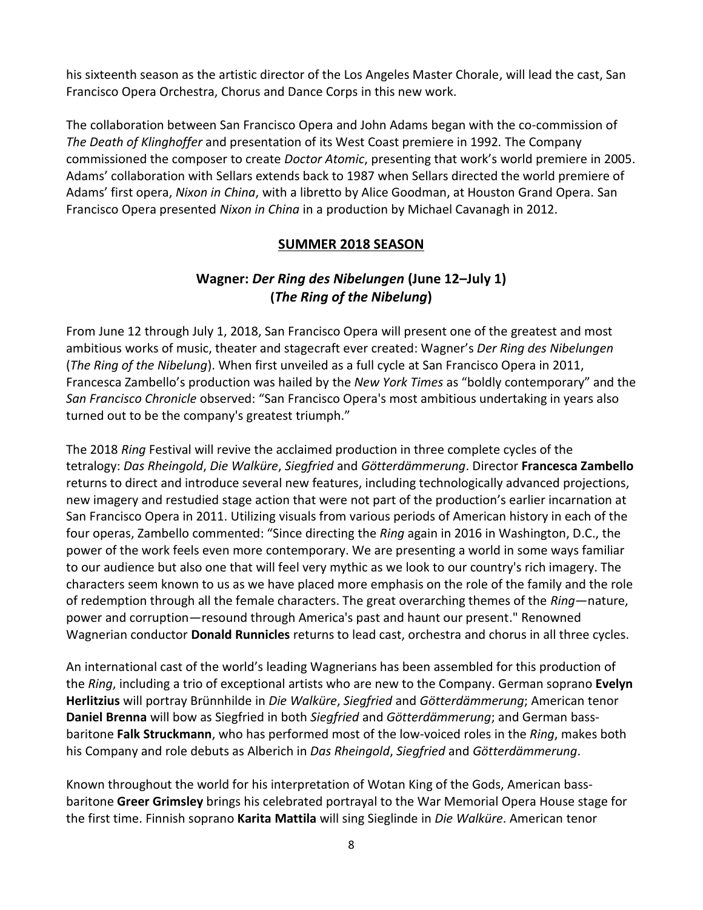his sixteenth season as the artistic director of the Los Angeles Master Chorale, will lead the cast, San Francisco Opera Orchestra, Chorus and Dance Corps in this new work.

The collaboration between San Francisco Opera and John Adams began with the co-commission of *The Death of Klinghoffer* and presentation of its West Coast premiere in 1992*.* The Company commissioned the composer to create *Doctor Atomic*, presenting that work's world premiere in 2005. Adams' collaboration with Sellars extends back to 1987 when Sellars directed the world premiere of Adams' first opera, *Nixon in China*, with a libretto by Alice Goodman, at Houston Grand Opera. San Francisco Opera presented *Nixon in China* in a production by Michael Cavanagh in 2012.

## **SUMMER 2018 SEASON**

# **Wagner:** *Der Ring des Nibelungen* **(June 12–July 1) (***The Ring of the Nibelung***)**

From June 12 through July 1, 2018, San Francisco Opera will present one of the greatest and most ambitious works of music, theater and stagecraft ever created: Wagner's *Der Ring des Nibelungen* (*The Ring of the Nibelung*). When first unveiled as a full cycle at San Francisco Opera in 2011, Francesca Zambello's production was hailed by the *New York Times* as "boldly contemporary" and the *San Francisco Chronicle* observed: "San Francisco Opera's most ambitious undertaking in years also turned out to be the company's greatest triumph."

The 2018 *Ring* Festival will revive the acclaimed production in three complete cycles of the tetralogy: *Das Rheingold*, *Die Walküre*, *Siegfried* and *Götterdämmerung*. Director **Francesca Zambello** returns to direct and introduce several new features, including technologically advanced projections, new imagery and restudied stage action that were not part of the production's earlier incarnation at San Francisco Opera in 2011. Utilizing visuals from various periods of American history in each of the four operas, Zambello commented: "Since directing the *Ring* again in 2016 in Washington, D.C., the power of the work feels even more contemporary. We are presenting a world in some ways familiar to our audience but also one that will feel very mythic as we look to our country's rich imagery. The characters seem known to us as we have placed more emphasis on the role of the family and the role of redemption through all the female characters. The great overarching themes of the *Ring*—nature, power and corruption—resound through America's past and haunt our present." Renowned Wagnerian conductor **Donald Runnicles** returns to lead cast, orchestra and chorus in all three cycles.

An international cast of the world's leading Wagnerians has been assembled for this production of the *Ring*, including a trio of exceptional artists who are new to the Company. German soprano **Evelyn Herlitzius** will portray Brünnhilde in *Die Walküre*, *Siegfried* and *Götterdämmerung*; American tenor **Daniel Brenna** will bow as Siegfried in both *Siegfried* and *Götterdämmerung*; and German bassbaritone **Falk Struckmann**, who has performed most of the low-voiced roles in the *Ring*, makes both his Company and role debuts as Alberich in *Das Rheingold*, *Siegfried* and *Götterdämmerung*.

Known throughout the world for his interpretation of Wotan King of the Gods, American bassbaritone **Greer Grimsley** brings his celebrated portrayal to the War Memorial Opera House stage for the first time. Finnish soprano **Karita Mattila** will sing Sieglinde in *Die Walküre*. American tenor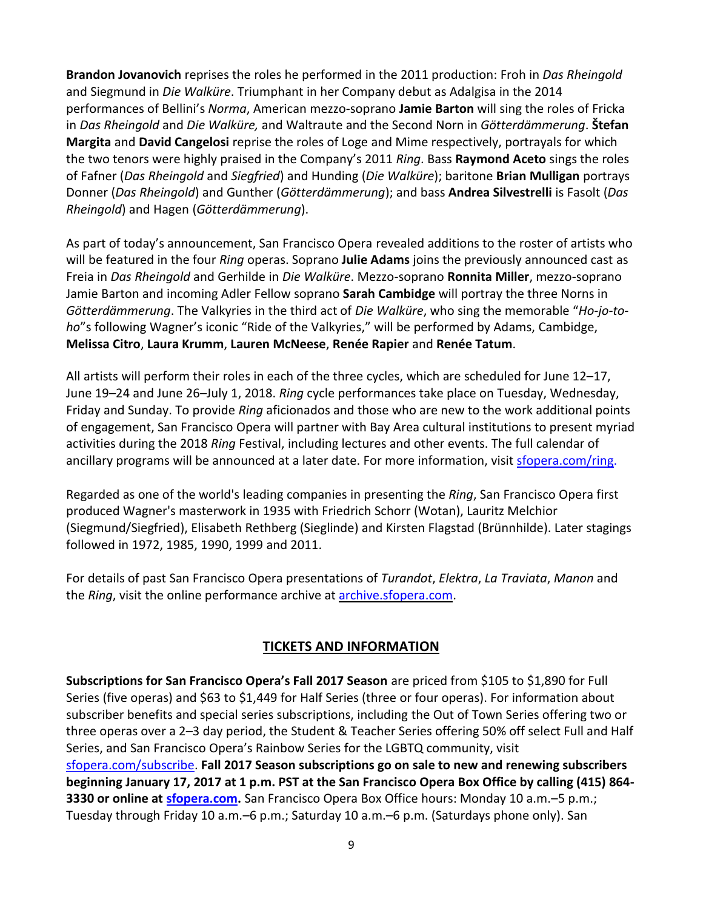**Brandon Jovanovich** reprises the roles he performed in the 2011 production: Froh in *Das Rheingold* and Siegmund in *Die Walküre*. Triumphant in her Company debut as Adalgisa in the 2014 performances of Bellini's *Norma*, American mezzo-soprano **Jamie Barton** will sing the roles of Fricka in *Das Rheingold* and *Die Walküre,* and Waltraute and the Second Norn in *Götterdämmerung*. **Štefan Margita** and **David Cangelosi** reprise the roles of Loge and Mime respectively, portrayals for which the two tenors were highly praised in the Company's 2011 *Ring*. Bass **Raymond Aceto** sings the roles of Fafner (*Das Rheingold* and *Siegfried*) and Hunding (*Die Walküre*); baritone **Brian Mulligan** portrays Donner (*Das Rheingold*) and Gunther (*Götterdämmerung*); and bass **Andrea Silvestrelli** is Fasolt (*Das Rheingold*) and Hagen (*Götterdämmerung*).

As part of today's announcement, San Francisco Opera revealed additions to the roster of artists who will be featured in the four *Ring* operas. Soprano **Julie Adams** joins the previously announced cast as Freia in *Das Rheingold* and Gerhilde in *Die Walküre*. Mezzo-soprano **Ronnita Miller**, mezzo-soprano Jamie Barton and incoming Adler Fellow soprano **Sarah Cambidge** will portray the three Norns in *Götterdämmerung*. The Valkyries in the third act of *Die Walküre*, who sing the memorable "*Ho-jo-toho*"s following Wagner's iconic "Ride of the Valkyries," will be performed by Adams, Cambidge, **Melissa Citro**, **Laura Krumm**, **Lauren McNeese**, **Renée Rapier** and **Renée Tatum**.

All artists will perform their roles in each of the three cycles, which are scheduled for June 12–17, June 19–24 and June 26–July 1, 2018. *Ring* cycle performances take place on Tuesday, Wednesday, Friday and Sunday. To provide *Ring* aficionados and those who are new to the work additional points of engagement, San Francisco Opera will partner with Bay Area cultural institutions to present myriad activities during the 2018 *Ring* Festival, including lectures and other events. The full calendar of ancillary programs will be announced at a later date. For more information, visit [sfopera.com/ring.](http://sfopera.com/ring)

Regarded as one of the world's leading companies in presenting the *Ring*, San Francisco Opera first produced Wagner's masterwork in 1935 with Friedrich Schorr (Wotan), Lauritz Melchior (Siegmund/Siegfried), Elisabeth Rethberg (Sieglinde) and Kirsten Flagstad (Brünnhilde). Later stagings followed in 1972, 1985, 1990, 1999 and 2011.

For details of past San Francisco Opera presentations of *Turandot*, *Elektra*, *La Traviata*, *Manon* and the *Ring*, visit the online performance archive at [archive.sfopera.com.](http://archive.sfopera.com/)

## **TICKETS AND INFORMATION**

**Subscriptions for San Francisco Opera's Fall 2017 Season** are priced from \$105 to \$1,890 for Full Series (five operas) and \$63 to \$1,449 for Half Series (three or four operas). For information about subscriber benefits and special series subscriptions, including the Out of Town Series offering two or three operas over a 2–3 day period, the Student & Teacher Series offering 50% off select Full and Half Series, and San Francisco Opera's Rainbow Series for the LGBTQ community, visit [sfopera.com/subscribe.](http://sfopera.com/subscribe) **Fall 2017 Season subscriptions go on sale to new and renewing subscribers beginning January 17, 2017 at 1 p.m. PST at the San Francisco Opera Box Office by calling (415) 864- 3330 or online at [sfopera.com.](http://www.sfopera.com/)** San Francisco Opera Box Office hours: Monday 10 a.m.–5 p.m.; Tuesday through Friday 10 a.m.–6 p.m.; Saturday 10 a.m.–6 p.m. (Saturdays phone only). San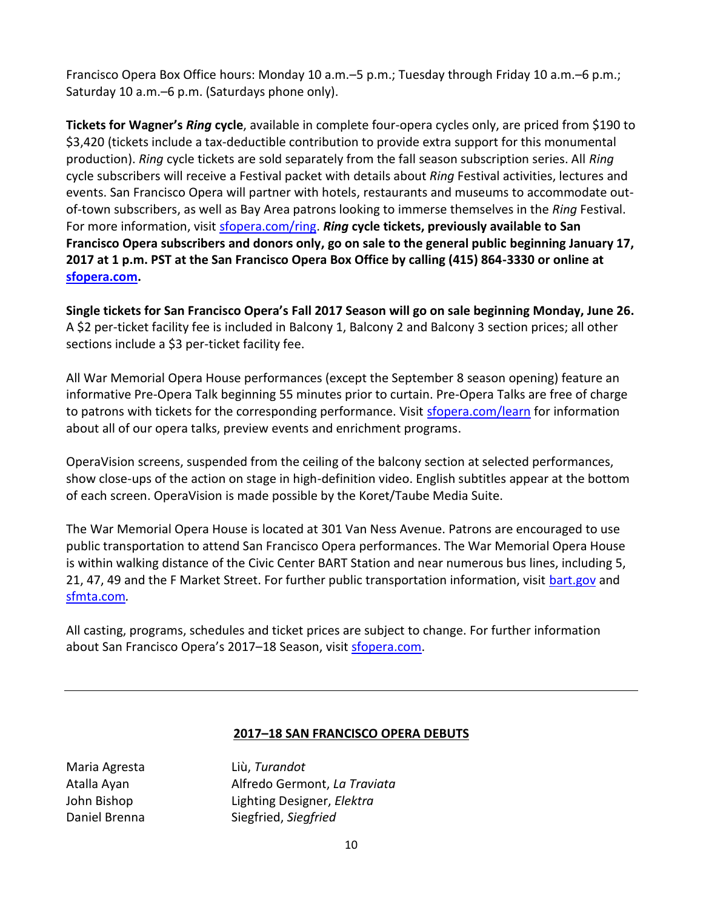Francisco Opera Box Office hours: Monday 10 a.m.–5 p.m.; Tuesday through Friday 10 a.m.–6 p.m.; Saturday 10 a.m.–6 p.m. (Saturdays phone only).

**Tickets for Wagner's** *Ring* **cycle**, available in complete four-opera cycles only, are priced from \$190 to \$3,420 (tickets include a tax-deductible contribution to provide extra support for this monumental production). *Ring* cycle tickets are sold separately from the fall season subscription series. All *Ring* cycle subscribers will receive a Festival packet with details about *Ring* Festival activities, lectures and events. San Francisco Opera will partner with hotels, restaurants and museums to accommodate outof-town subscribers, as well as Bay Area patrons looking to immerse themselves in the *Ring* Festival. For more information, visit **sfopera.com/ring. Ring cycle tickets, previously available to San Francisco Opera subscribers and donors only, go on sale to the general public beginning January 17, 2017 at 1 p.m. PST at the San Francisco Opera Box Office by calling (415) 864-3330 or online at [sfopera.com.](http://www.sfopera.com/)**

**Single tickets for San Francisco Opera's Fall 2017 Season will go on sale beginning Monday, June 26.** A \$2 per-ticket facility fee is included in Balcony 1, Balcony 2 and Balcony 3 section prices; all other sections include a \$3 per-ticket facility fee.

All War Memorial Opera House performances (except the September 8 season opening) feature an informative Pre-Opera Talk beginning 55 minutes prior to curtain. Pre-Opera Talks are free of charge to patrons with tickets for the corresponding performance. Visit [sfopera.com/learn](http://sfopera.com/learn) for information about all of our opera talks, preview events and enrichment programs.

OperaVision screens, suspended from the ceiling of the balcony section at selected performances, show close-ups of the action on stage in high-definition video. English subtitles appear at the bottom of each screen. OperaVision is made possible by the Koret/Taube Media Suite.

The War Memorial Opera House is located at 301 Van Ness Avenue. Patrons are encouraged to use public transportation to attend San Francisco Opera performances. The War Memorial Opera House is within walking distance of the Civic Center BART Station and near numerous bus lines, including 5, 21, 47, 49 and the F Market Street. For further public transportation information, visit [bart.gov](http://www.bart.gov/) and [sfmta.com](http://www.sfmta.com/)*.* 

All casting, programs, schedules and ticket prices are subject to change. For further information about San Francisco Opera's 2017-18 Season, visit [sfopera.com.](http://sfopera.com/Home.aspx)

## **2017–18 SAN FRANCISCO OPERA DEBUTS**

Maria Agresta Liù, *Turandot*

Atalla Ayan Alfredo Germont, *La Traviata* John Bishop Lighting Designer, *Elektra* Daniel Brenna Siegfried, *Siegfried*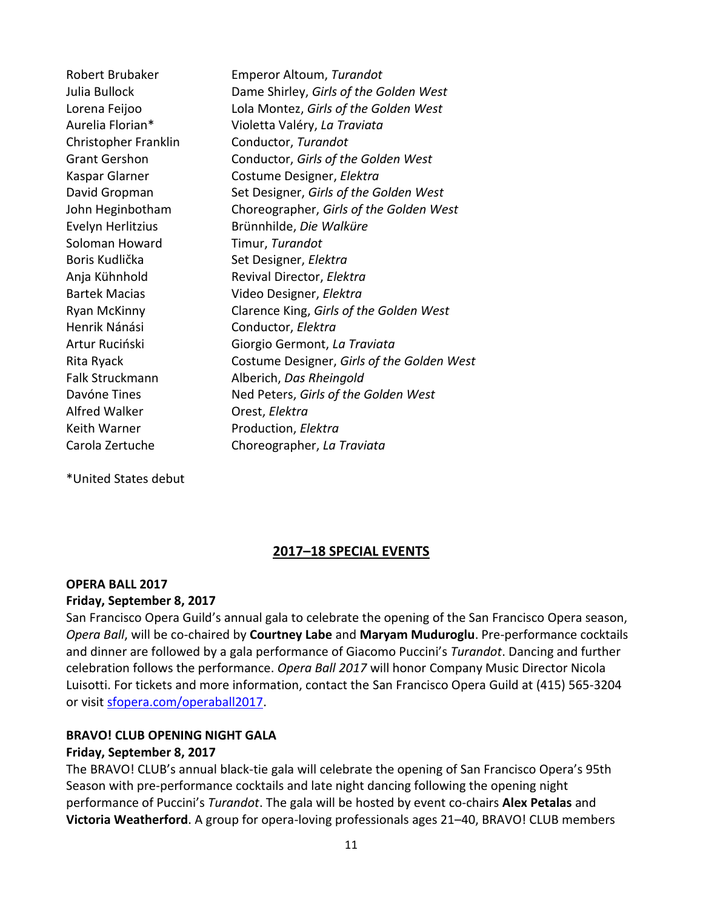Robert Brubaker Emperor Altoum, *Turandot* Julia Bullock Dame Shirley, *Girls of the Golden West* Lorena Feijoo Lola Montez, *Girls of the Golden West* Aurelia Florian\* Violetta Valéry, *La Traviata* Christopher Franklin Conductor, *Turandot* Grant Gershon Conductor, *Girls of the Golden West* Kaspar Glarner Costume Designer, *Elektra* David Gropman Set Designer, *Girls of the Golden West* John Heginbotham Choreographer, *Girls of the Golden West* Evelyn Herlitzius Brünnhilde, *Die Walküre* Soloman Howard Timur, *Turandot* Boris Kudlička Set Designer, *Elektra* Anja Kühnhold Revival Director, *Elektra* Bartek Macias Video Designer, *Elektra* Ryan McKinny Clarence King, *Girls of the Golden West* Henrik Nánási Conductor, *Elektra* Artur Ruciński Giorgio Germont, *La Traviata* Rita Ryack Costume Designer, *Girls of the Golden West* Falk Struckmann Alberich, *Das Rheingold* Davóne Tines Ned Peters, Girls of the Golden West Alfred Walker Orest, *Elektra* Keith Warner **Production**, *Elektra* Carola Zertuche Choreographer, *La Traviata*

\*United States debut

## **2017–18 SPECIAL EVENTS**

### **OPERA BALL 2017 Friday, September 8, 2017**

San Francisco Opera Guild's annual gala to celebrate the opening of the San Francisco Opera season, *Opera Ball*, will be co-chaired by **Courtney Labe** and **Maryam Muduroglu**. Pre-performance cocktails and dinner are followed by a gala performance of Giacomo Puccini's *Turandot*. Dancing and further celebration follows the performance. *Opera Ball 2017* will honor Company Music Director Nicola Luisotti. For tickets and more information, contact the San Francisco Opera Guild at (415) 565-3204 or visit [sfopera.com/operaball2017.](http://www.sfopera.com/operaball2017)

### **BRAVO! CLUB OPENING NIGHT GALA Friday, September 8, 2017**

The BRAVO! CLUB's annual black-tie gala will celebrate the opening of San Francisco Opera's 95th Season with pre-performance cocktails and late night dancing following the opening night performance of Puccini's *Turandot*. The gala will be hosted by event co-chairs **Alex Petalas** and **Victoria Weatherford**. A group for opera-loving professionals ages 21–40, BRAVO! CLUB members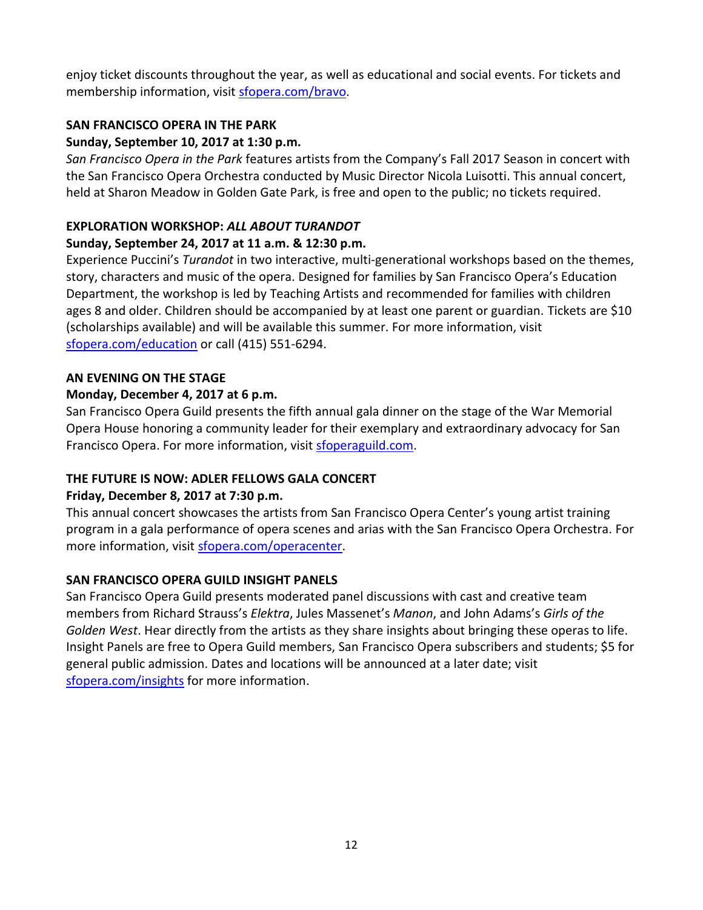enjoy ticket discounts throughout the year, as well as educational and social events. For tickets and membership information, visit [sfopera.com/bravo.](http://sfopera.com/bravo)

## **SAN FRANCISCO OPERA IN THE PARK**

## **Sunday, September 10, 2017 at 1:30 p.m.**

*San Francisco Opera in the Park* features artists from the Company's Fall 2017 Season in concert with the San Francisco Opera Orchestra conducted by Music Director Nicola Luisotti. This annual concert, held at Sharon Meadow in Golden Gate Park, is free and open to the public; no tickets required.

## **EXPLORATION WORKSHOP:** *ALL ABOUT TURANDOT*

## **Sunday, September 24, 2017 at 11 a.m. & 12:30 p.m.**

Experience Puccini's *Turandot* in two interactive, multi-generational workshops based on the themes, story, characters and music of the opera. Designed for families by San Francisco Opera's Education Department, the workshop is led by Teaching Artists and recommended for families with children ages 8 and older. Children should be accompanied by at least one parent or guardian. Tickets are \$10 (scholarships available) and will be available this summer. For more information, visit [sfopera.com/education](http://sfopera.com/discover-opera/education-programs/for-community-and-families/exploration-workshops/) or call (415) 551-6294.

## **AN EVENING ON THE STAGE**

## **Monday, December 4, 2017 at 6 p.m.**

San Francisco Opera Guild presents the fifth annual gala dinner on the stage of the War Memorial Opera House honoring a community leader for their exemplary and extraordinary advocacy for San Francisco Opera. For more information, visit [sfoperaguild.com.](http://www.sfoperaguild.com/)

# **THE FUTURE IS NOW: ADLER FELLOWS GALA CONCERT**

## **Friday, December 8, 2017 at 7:30 p.m.**

This annual concert showcases the artists from San Francisco Opera Center's young artist training program in a gala performance of opera scenes and arias with the San Francisco Opera Orchestra. For more information, visit [sfopera.com/operacenter.](http://www.sfopera.com/operacenter)

## **SAN FRANCISCO OPERA GUILD INSIGHT PANELS**

San Francisco Opera Guild presents moderated panel discussions with cast and creative team members from Richard Strauss's *Elektra*, Jules Massenet's *Manon*, and John Adams's *Girls of the Golden West*. Hear directly from the artists as they share insights about bringing these operas to life. Insight Panels are free to Opera Guild members, San Francisco Opera subscribers and students; \$5 for general public admission. Dates and locations will be announced at a later date; visit [sfopera.com/insights](http://sfopera.com/insights) for more information.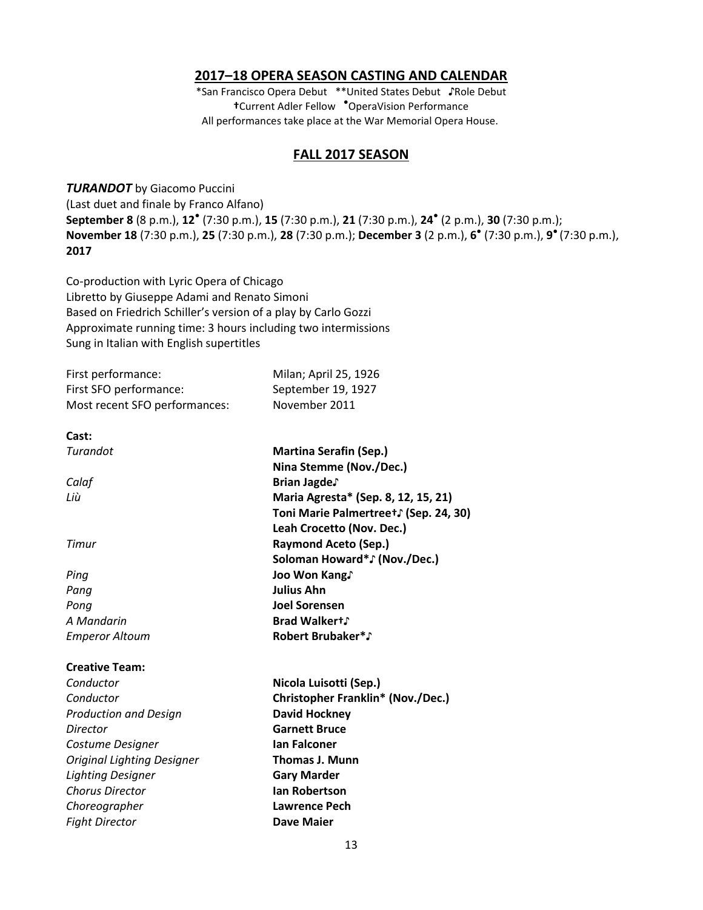### **2017–18 OPERA SEASON CASTING AND CALENDAR**

\*San Francisco Opera Debut \*\*United States Debut ♪Role Debut **†**Current Adler Fellow ● OperaVision Performance All performances take place at the War Memorial Opera House.

### **FALL 2017 SEASON**

*TURANDOT* by Giacomo Puccini (Last duet and finale by Franco Alfano) **September 8** (8 p.m.), **12**● (7:30 p.m.), **15** (7:30 p.m.), **21** (7:30 p.m.), **24**● (2 p.m.), **30** (7:30 p.m.); **November 18** (7:30 p.m.), **25** (7:30 p.m.), **28** (7:30 p.m.); **December 3** (2 p.m.), **6** ● (7:30 p.m.), **9** ● (7:30 p.m.), **2017**

Co-production with Lyric Opera of Chicago Libretto by Giuseppe Adami and Renato Simoni Based on Friedrich Schiller's version of a play by Carlo Gozzi Approximate running time: 3 hours including two intermissions Sung in Italian with English supertitles

| First performance:                | Milan; April 25, 1926                                    |
|-----------------------------------|----------------------------------------------------------|
| First SFO performance:            | September 19, 1927                                       |
| Most recent SFO performances:     | November 2011                                            |
| Cast:                             |                                                          |
| Turandot                          | <b>Martina Serafin (Sep.)</b><br>Nina Stemme (Nov./Dec.) |
| Calaf                             | Brian Jagde.                                             |
| Liù                               | Maria Agresta* (Sep. 8, 12, 15, 21)                      |
|                                   | Toni Marie Palmertreet ∫ (Sep. 24, 30)                   |
|                                   | Leah Crocetto (Nov. Dec.)                                |
| Timur                             | <b>Raymond Aceto (Sep.)</b>                              |
|                                   | Soloman Howard*J (Nov./Dec.)                             |
| Ping                              | Joo Won Kang.                                            |
| Pang                              | <b>Julius Ahn</b>                                        |
| Pong                              | <b>Joel Sorensen</b>                                     |
| A Mandarin                        | <b>Brad Walkert</b> ,                                    |
| <b>Emperor Altoum</b>             | <b>Robert Brubaker*</b> Fobert Brubaker                  |
| <b>Creative Team:</b>             |                                                          |
| Conductor                         | Nicola Luisotti (Sep.)                                   |
| Conductor                         | <b>Christopher Franklin* (Nov./Dec.)</b>                 |
| <b>Production and Design</b>      | <b>David Hockney</b>                                     |
| Director                          | <b>Garnett Bruce</b>                                     |
| Costume Designer                  | <b>Ian Falconer</b>                                      |
| <b>Original Lighting Designer</b> | <b>Thomas J. Munn</b>                                    |
| <b>Lighting Designer</b>          | <b>Gary Marder</b>                                       |
| <b>Chorus Director</b>            | <b>Ian Robertson</b>                                     |
| Choreographer                     | Lawrence Pech                                            |

*Fight Director* **Dave Maier**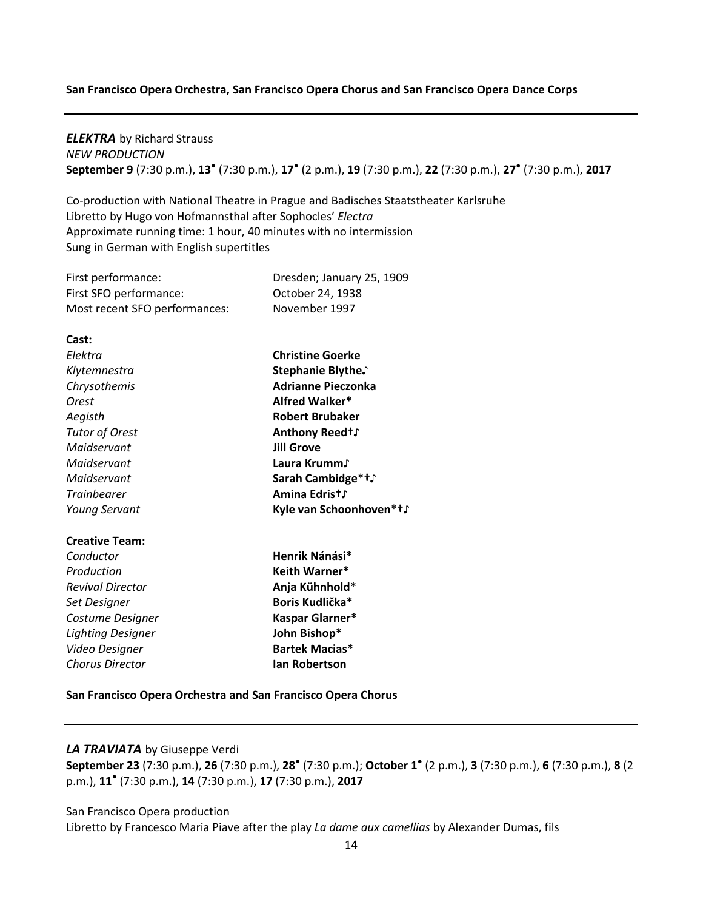#### **San Francisco Opera Orchestra, San Francisco Opera Chorus and San Francisco Opera Dance Corps**

### *ELEKTRA* by Richard Strauss *NEW PRODUCTION* **September 9** (7:30 p.m.), **13** ● (7:30 p.m.), **17** ● (2 p.m.), **19** (7:30 p.m.), **22** (7:30 p.m.), **27**● (7:30 p.m.), **2017**

Co-production with National Theatre in Prague and Badisches Staatstheater Karlsruhe Libretto by Hugo von Hofmannsthal after Sophocles' *Electra* Approximate running time: 1 hour, 40 minutes with no intermission Sung in German with English supertitles

| First performance:            | Dresden; January 25, 1909 |
|-------------------------------|---------------------------|
| First SFO performance:        | October 24, 1938          |
| Most recent SFO performances: | November 1997             |

| Cast:                    |                           |
|--------------------------|---------------------------|
| Flektra                  | <b>Christine Goerke</b>   |
| Klytemnestra             | Stephanie Blythe.         |
| Chrysothemis             | <b>Adrianne Pieczonka</b> |
| Orest                    | Alfred Walker*            |
| Aegisth                  | <b>Robert Brubaker</b>    |
| <b>Tutor of Orest</b>    | Anthony Reed†∫            |
| Maidservant              | <b>Jill Grove</b>         |
| Maidservant              | Laura Krumm♪              |
| Maidservant              | Sarah Cambidge*†♪         |
| <b>Trainbearer</b>       | Amina Edrist∫             |
| <b>Young Servant</b>     | Kyle van Schoonhoven*†∫   |
| <b>Creative Team:</b>    |                           |
| Conductor                | Henrik Nánási*            |
| Production               | Keith Warner*             |
| <b>Revival Director</b>  | Anja Kühnhold*            |
| Set Designer             | Boris Kudlička*           |
| Costume Designer         | Kaspar Glarner*           |
| <b>Lighting Designer</b> | John Bishop*              |
| Video Designer           | Bartek Macias*            |
| <b>Chorus Director</b>   | lan Robertson             |

**San Francisco Opera Orchestra and San Francisco Opera Chorus**

#### *LA TRAVIATA* by Giuseppe Verdi

**September 23** (7:30 p.m.), **26** (7:30 p.m.), **28**● (7:30 p.m.); **October 1**● (2 p.m.), **3** (7:30 p.m.), **6** (7:30 p.m.), **8** (2 p.m.), **11**● (7:30 p.m.), **14** (7:30 p.m.), **17** (7:30 p.m.), **2017**

San Francisco Opera production

Libretto by Francesco Maria Piave after the play *La dame aux camellias* by Alexander Dumas, fils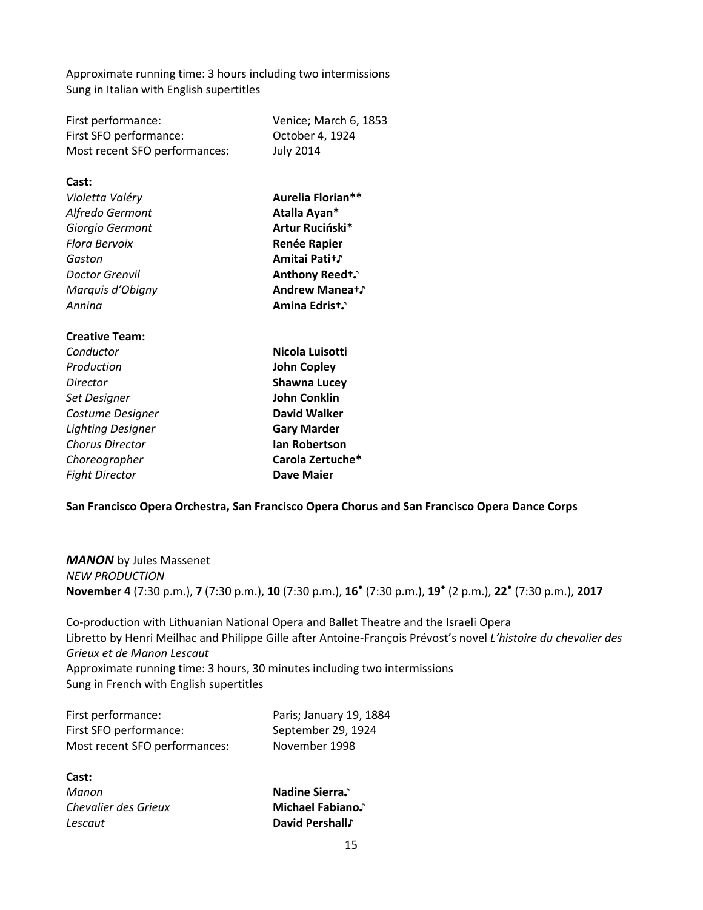Approximate running time: 3 hours including two intermissions Sung in Italian with English supertitles

| First performance:            | Venice; March 6, 1853     |
|-------------------------------|---------------------------|
| First SFO performance:        | October 4, 1924           |
| Most recent SFO performances: | <b>July 2014</b>          |
| Cast:                         |                           |
| Violetta Valéry               | Aurelia Florian**         |
| Alfredo Germont               | Atalla Ayan*              |
| Giorgio Germont               | Artur Ruciński*           |
| Flora Bervoix                 |                           |
|                               | <b>Renée Rapier</b>       |
| Gaston                        | Amitai Patit <sup>,</sup> |
| Doctor Grenvil                | Anthony Reedt,            |
| Marquis d'Obigny              | Andrew Maneat S           |
| Annina                        | Amina Edrist』             |
| <b>Creative Team:</b>         |                           |
| Conductor                     | Nicola Luisotti           |
| Production                    | <b>John Copley</b>        |
| Director                      | <b>Shawna Lucey</b>       |
| Set Designer                  | <b>John Conklin</b>       |
| Costume Designer              | David Walker              |
| <b>Lighting Designer</b>      | <b>Gary Marder</b>        |
| <b>Chorus Director</b>        | <b>lan Robertson</b>      |
| Choreographer                 | Carola Zertuche*          |
| <b>Fight Director</b>         | Dave Maier                |

#### **San Francisco Opera Orchestra, San Francisco Opera Chorus and San Francisco Opera Dance Corps**

### *MANON* by Jules Massenet *NEW PRODUCTION* **November 4** (7:30 p.m.), **7** (7:30 p.m.), **10** (7:30 p.m.), **16**● (7:30 p.m.), **19**● (2 p.m.), **22**● (7:30 p.m.), **2017**

Co-production with Lithuanian National Opera and Ballet Theatre and the Israeli Opera Libretto by Henri Meilhac and Philippe Gille after Antoine-François Prévost's novel *L'histoire du chevalier des Grieux et de Manon Lescaut* Approximate running time: 3 hours, 30 minutes including two intermissions Sung in French with English supertitles

| First performance:            | Paris; January 19, 1884 |
|-------------------------------|-------------------------|
| First SFO performance:        | September 29, 1924      |
| Most recent SFO performances: | November 1998           |

### **Cast:**

| Manon                |
|----------------------|
| Chevalier des Grieux |
| Lescaut              |

*Manon* **Nadine Sierra**♪ *Chevalier des Grieux* **Michael Fabiano**♪ *Lescaut* **David Pershall**♪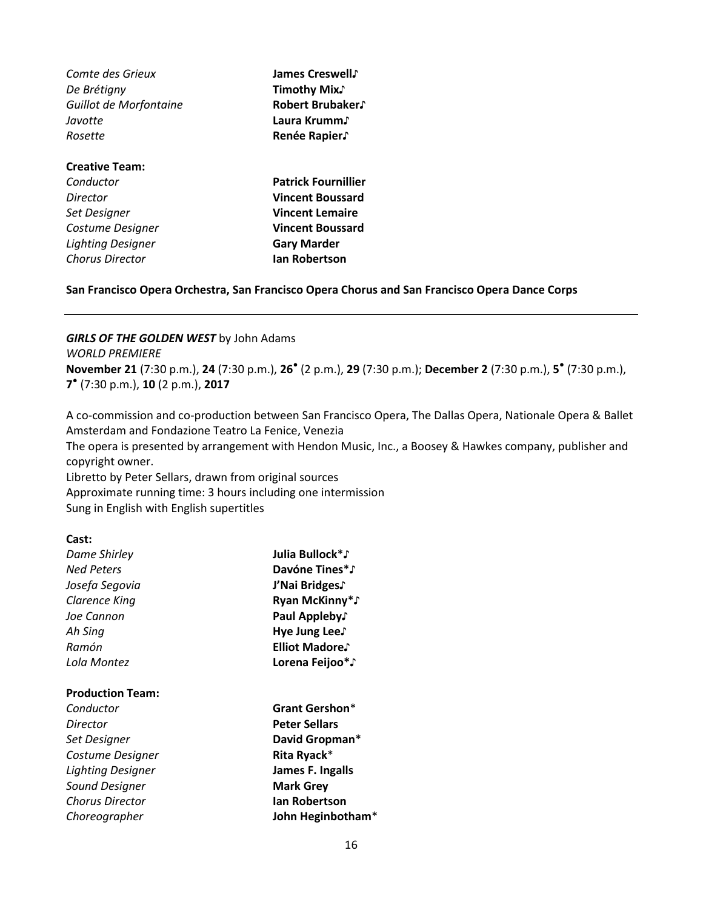| Comte des Grieux       | James Creswell,            |
|------------------------|----------------------------|
| De Brétigny            | <b>Timothy Mix.</b>        |
| Guillot de Morfontaine | Robert Brubaker.           |
| Javotte                | Laura Krumm♪               |
| Rosette                | Renée Rapier.              |
| <b>Creative Team:</b>  |                            |
| Conductor              | <b>Patrick Fournillier</b> |
| Director               | <b>Vincent Boussard</b>    |
| Set Designer           | <b>Vincent Lemaire</b>     |
| Costume Designer       | <b>Vincent Boussard</b>    |
| Lighting Designer      | <b>Gary Marder</b>         |
| <b>Chorus Director</b> | <b>Ian Robertson</b>       |
|                        |                            |

#### **San Francisco Opera Orchestra, San Francisco Opera Chorus and San Francisco Opera Dance Corps**

#### *GIRLS OF THE GOLDEN WEST* by John Adams

*WORLD PREMIERE*

**November 21** (7:30 p.m.), **24** (7:30 p.m.), **26**● (2 p.m.), **29** (7:30 p.m.); **December 2** (7:30 p.m.), **5** ● (7:30 p.m.), **7** ● (7:30 p.m.), **10** (2 p.m.), **2017**

A co-commission and co-production between San Francisco Opera, The Dallas Opera, Nationale Opera & Ballet Amsterdam and Fondazione Teatro La Fenice, Venezia

The opera is presented by arrangement with Hendon Music, Inc., a Boosey & Hawkes company, publisher and copyright owner.

Libretto by Peter Sellars, drawn from original sources Approximate running time: 3 hours including one intermission Sung in English with English supertitles

#### **Cast:**

| Dame Shirley            | Julia Bullock*♪             |
|-------------------------|-----------------------------|
| <b>Ned Peters</b>       | Davóne Tines*♪              |
| Josefa Segovia          | J'Nai Bridges.              |
| <b>Clarence King</b>    | Ryan McKinny <sup>*</sup> ♪ |
| Joe Cannon              | Paul Appleby.               |
| Ah Sing                 | Hye Jung Lee.               |
| Ramón                   | Elliot Madore.              |
| Lola Montez             | Lorena Feijoo*♪             |
| <b>Production Team:</b> |                             |
| Conductor               | Grant Gershon*              |
| Director                | Peter Sellars               |
| Set Designer            | David Gropman*              |
| Costume Designer        | Rita Ryack*                 |
| Lighting Designer       | James F. Ingalls            |
| Sound Designer          | <b>Mark Grey</b>            |
| <b>Chorus Director</b>  | Ian Robertson               |
| Choreographer           | John Heginbotham*           |
|                         |                             |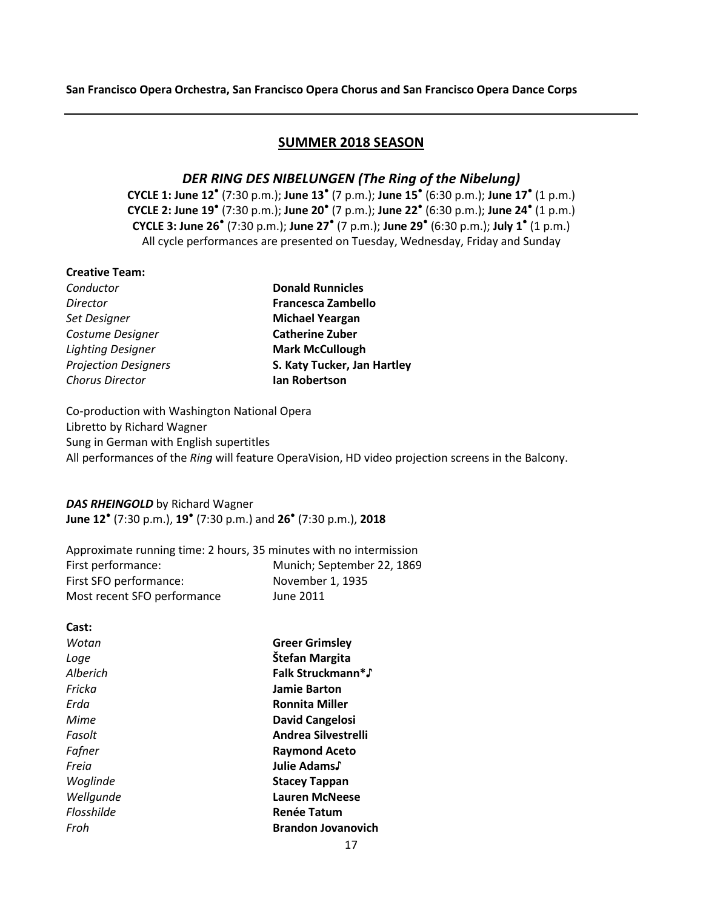### **SUMMER 2018 SEASON**

### *DER RING DES NIBELUNGEN (The Ring of the Nibelung)*

**CYCLE 1: June 12**● (7:30 p.m.); **June 13**● (7 p.m.); **June 15**● (6:30 p.m.); **June 17**● (1 p.m.) **CYCLE 2: June 19**● (7:30 p.m.); **June 20**● (7 p.m.); **June 22**● (6:30 p.m.); **June 24**● (1 p.m.) **CYCLE 3: June 26**● (7:30 p.m.); **June 27**● (7 p.m.); **June 29**● (6:30 p.m.); **July 1** ● (1 p.m.) All cycle performances are presented on Tuesday, Wednesday, Friday and Sunday

### **Creative Team:**

| Conductor                   | <b>Donald Runnicles</b>     |
|-----------------------------|-----------------------------|
| <b>Director</b>             | <b>Francesca Zambello</b>   |
| Set Designer                | <b>Michael Yeargan</b>      |
| Costume Designer            | <b>Catherine Zuber</b>      |
| <b>Lighting Designer</b>    | <b>Mark McCullough</b>      |
| <b>Projection Designers</b> | S. Katy Tucker, Jan Hartley |
| <b>Chorus Director</b>      | Ian Robertson               |
|                             |                             |

Co-production with Washington National Opera Libretto by Richard Wagner Sung in German with English supertitles All performances of the *Ring* will feature OperaVision, HD video projection screens in the Balcony.

### *DAS RHEINGOLD* by Richard Wagner

**June 12**● (7:30 p.m.), **19**● (7:30 p.m.) and **26**● (7:30 p.m.), **2018**

| Approximate running time: 2 hours, 35 minutes with no intermission |                            |
|--------------------------------------------------------------------|----------------------------|
| First performance:                                                 | Munich; September 22, 1869 |
| First SFO performance:                                             | November 1, 1935           |
| Most recent SFO performance                                        | June 2011                  |

| Wotan<br><b>Greer Grimsley</b><br>Štefan Margita<br>Loge<br>Falk Struckmann*♪<br>Alberich<br>Fricka<br>Jamie Barton<br>Frda<br><b>Ronnita Miller</b><br>Mime<br>David Cangelosi<br>Andrea Silvestrelli<br>Fasolt<br>Fafner<br><b>Raymond Aceto</b><br>Julie Adams.<br>Freia<br>Woglinde<br><b>Stacey Tappan</b><br>Wellgunde<br><b>Lauren McNeese</b><br>Flosshilde<br><b>Renée Tatum</b><br><b>Brandon Jovanovich</b><br>Froh | Cast: |  |
|--------------------------------------------------------------------------------------------------------------------------------------------------------------------------------------------------------------------------------------------------------------------------------------------------------------------------------------------------------------------------------------------------------------------------------|-------|--|
|                                                                                                                                                                                                                                                                                                                                                                                                                                |       |  |
|                                                                                                                                                                                                                                                                                                                                                                                                                                |       |  |
|                                                                                                                                                                                                                                                                                                                                                                                                                                |       |  |
|                                                                                                                                                                                                                                                                                                                                                                                                                                |       |  |
|                                                                                                                                                                                                                                                                                                                                                                                                                                |       |  |
|                                                                                                                                                                                                                                                                                                                                                                                                                                |       |  |
|                                                                                                                                                                                                                                                                                                                                                                                                                                |       |  |
|                                                                                                                                                                                                                                                                                                                                                                                                                                |       |  |
|                                                                                                                                                                                                                                                                                                                                                                                                                                |       |  |
|                                                                                                                                                                                                                                                                                                                                                                                                                                |       |  |
|                                                                                                                                                                                                                                                                                                                                                                                                                                |       |  |
|                                                                                                                                                                                                                                                                                                                                                                                                                                |       |  |
|                                                                                                                                                                                                                                                                                                                                                                                                                                |       |  |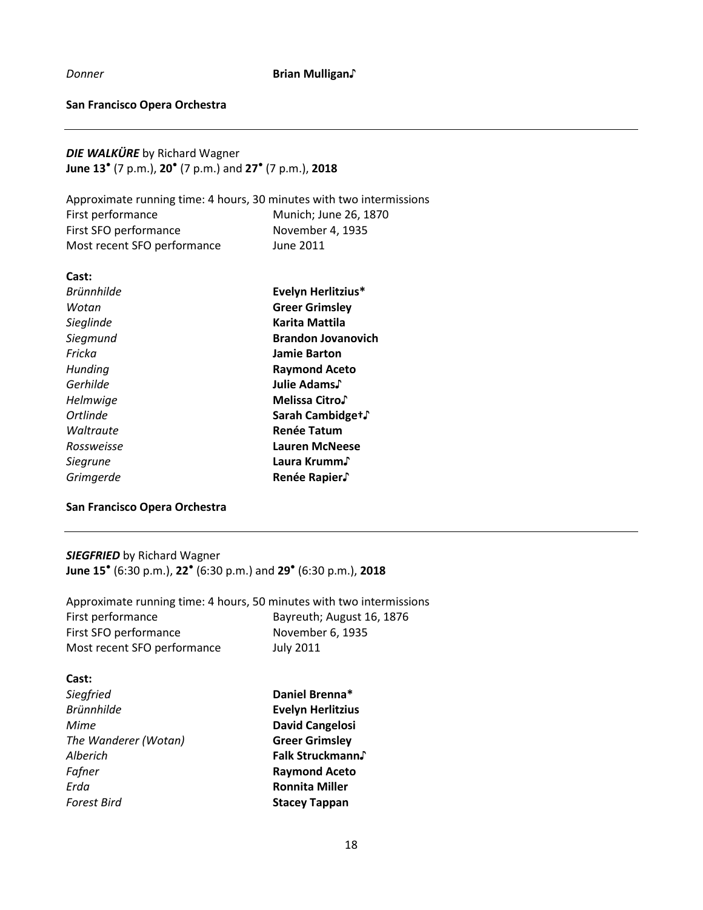*Donner* **Brian Mulligan**♪

### **San Francisco Opera Orchestra**

*DIE WALKÜRE* by Richard Wagner **June 13**● (7 p.m.), **20**● (7 p.m.) and **27**● (7 p.m.), **2018**

Approximate running time: 4 hours, 30 minutes with two intermissions First performance Munich; June 26, 1870 First SFO performance November 4, 1935 Most recent SFO performance June 2011

| Cast:             |                           |
|-------------------|---------------------------|
| <b>Brünnhilde</b> | Evelyn Herlitzius*        |
| Wotan             | <b>Greer Grimsley</b>     |
| Sieglinde         | Karita Mattila            |
| Siegmund          | <b>Brandon Jovanovich</b> |
| Fricka            | <b>Jamie Barton</b>       |
| Hunding           | <b>Raymond Aceto</b>      |
| Gerhilde          | Julie Adams.              |
| Helmwige          | Melissa Citro.            |
| <b>Ortlinde</b>   | Sarah Cambidget∫          |
| Waltraute         | <b>Renée Tatum</b>        |
| Rossweisse        | Lauren McNeese            |
| <b>Siegrune</b>   | Laura Krumm√              |
| Grimgerde         | Renée Rapier.             |

### **San Francisco Opera Orchestra**

*SIEGFRIED* by Richard Wagner **June 15**● (6:30 p.m.), **22**● (6:30 p.m.) and **29**● (6:30 p.m.), **2018**

Approximate running time: 4 hours, 50 minutes with two intermissions First performance Bayreuth; August 16, 1876 First SFO performance November 6, 1935 Most recent SFO performance July 2011

| Cast:                |                          |
|----------------------|--------------------------|
| Siegfried            | Daniel Brenna*           |
| <b>Brünnhilde</b>    | <b>Evelyn Herlitzius</b> |
| Mime                 | <b>David Cangelosi</b>   |
| The Wanderer (Wotan) | <b>Greer Grimsley</b>    |
| Alberich             | Falk Struckmann.         |
| Fafner               | <b>Raymond Aceto</b>     |
| Erda                 | <b>Ronnita Miller</b>    |
| <b>Forest Bird</b>   | <b>Stacey Tappan</b>     |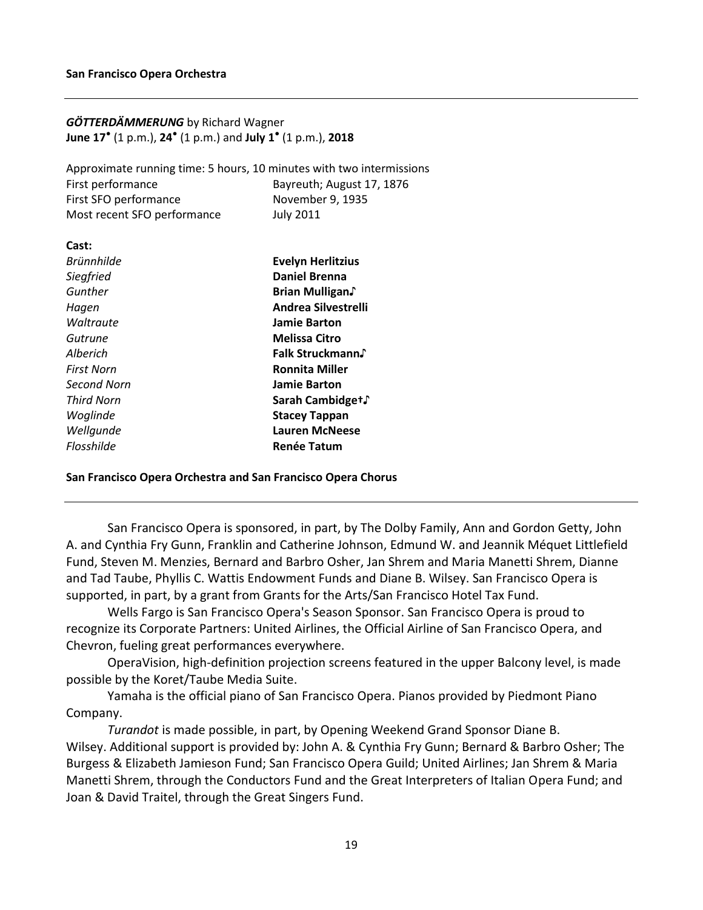### *GÖTTERDÄMMERUNG* by Richard Wagner **June 17**● (1 p.m.), **24**● (1 p.m.) and **July 1** ● (1 p.m.), **2018**

Approximate running time: 5 hours, 10 minutes with two intermissions First performance Bayreuth; August 17, 1876 First SFO performance November 9, 1935 Most recent SFO performance July 2011

| Cast:             |                          |
|-------------------|--------------------------|
| <b>Brünnhilde</b> | <b>Evelyn Herlitzius</b> |
| Siegfried         | <b>Daniel Brenna</b>     |
| Gunther           | Brian Mulligan.          |
| Hagen             | Andrea Silvestrelli      |
| Waltraute         | <b>Jamie Barton</b>      |
| Gutrune           | <b>Melissa Citro</b>     |
| Alberich          | Falk Struckmann.         |
| <b>First Norn</b> | <b>Ronnita Miller</b>    |
| Second Norn       | <b>Jamie Barton</b>      |
| Third Norn        | Sarah Cambidget∫         |
| Woglinde          | <b>Stacey Tappan</b>     |
| Wellgunde         | <b>Lauren McNeese</b>    |
| Flosshilde        | <b>Renée Tatum</b>       |

#### **San Francisco Opera Orchestra and San Francisco Opera Chorus**

San Francisco Opera is sponsored, in part, by The Dolby Family, Ann and Gordon Getty, John A. and Cynthia Fry Gunn, Franklin and Catherine Johnson, Edmund W. and Jeannik Méquet Littlefield Fund, Steven M. Menzies, Bernard and Barbro Osher, Jan Shrem and Maria Manetti Shrem, Dianne and Tad Taube, Phyllis C. Wattis Endowment Funds and Diane B. Wilsey. San Francisco Opera is supported, in part, by a grant from Grants for the Arts/San Francisco Hotel Tax Fund.

Wells Fargo is San Francisco Opera's Season Sponsor. San Francisco Opera is proud to recognize its Corporate Partners: United Airlines, the Official Airline of San Francisco Opera, and Chevron, fueling great performances everywhere.

OperaVision, high-definition projection screens featured in the upper Balcony level, is made possible by the Koret/Taube Media Suite.

Yamaha is the official piano of San Francisco Opera. Pianos provided by Piedmont Piano Company.

*Turandot* is made possible, in part, by Opening Weekend Grand Sponsor Diane B. Wilsey. Additional support is provided by: John A. & Cynthia Fry Gunn; Bernard & Barbro Osher; The Burgess & Elizabeth Jamieson Fund; San Francisco Opera Guild; United Airlines; Jan Shrem & Maria Manetti Shrem, through the Conductors Fund and the Great Interpreters of Italian Opera Fund; and Joan & David Traitel, through the Great Singers Fund.